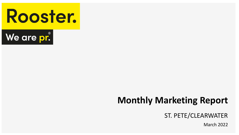



# **Monthly Marketing Report**

## ST. PETE/CLEARWATER

March 2022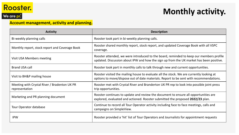

## We are pr.

#### **Account management, activity and planning.**

| <b>Activity</b>                                                | <b>Description</b>                                                                                                                                                                 |
|----------------------------------------------------------------|------------------------------------------------------------------------------------------------------------------------------------------------------------------------------------|
| Bi-weekly planning calls                                       | Rooster took part in bi-weekly planning calls.                                                                                                                                     |
| Monthly report, stock report and Coverage Book                 | Rooster shared monthly report, stock report, and updated Coverage Book with all VSPC<br>coverage.                                                                                  |
| Visit USA Members meeting                                      | Rooster attended, we were introduced to the board, reminded to keep our members profile<br>updated. Discussion about IPW and how the sign up from the UK market has been positive. |
| Brand USA call                                                 | Rooster took part in monthly calls to talk through new and current opportunities.                                                                                                  |
| Visit to BH&P mailing house                                    | Rooster visited the mailing house to evaluate all the stock. We are currently looking at<br>options to move/dispose out of date materials. Report to be sent with recommendations. |
| Meeting with Crystal River / Bradenton UK PR<br>representation | Rooster met with Crystal River and Branderton UK PR rep to look into possible joint press<br>trip opportunities.                                                                   |
| Marketing and PR planning document                             | Rooster continues to update and review the document to ensure all opportunities are<br>explored, evaluated and actioned. Rooster submitted the proposed 2022/23 plan.              |
| Tour Operator database                                         | Continue to record all Tour Operator activity including face to face meetings, calls and<br>campaigns on SimpleView.                                                               |
| <b>IPW</b>                                                     | Rooster provided a 'hit' list of Tour Operators and Journalists for appointment requests                                                                                           |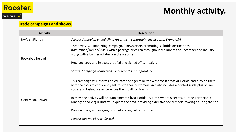

## **Trade campaigns and shows.**

| <b>Activity</b>          | <b>Description</b>                                                                                                                                                                                                                                                          |
|--------------------------|-----------------------------------------------------------------------------------------------------------------------------------------------------------------------------------------------------------------------------------------------------------------------------|
| <b>BA/Visit Florida</b>  | Status: Campaign ended. Final report sent separately. Invoice with Brand USA                                                                                                                                                                                                |
| <b>Bookabed Ireland</b>  | Three-way B2B marketing campaign. 2 newsletters promoting 3 Florida destinations<br>(Kissimmee/Tampa/VSPC) with a package price ran throughout the months of December and January,<br>along with a banner rotating on the websites.                                         |
|                          | Provided copy and images, proofed and signed off campaign.                                                                                                                                                                                                                  |
|                          | Status: Campaign completed. Final report sent separately.                                                                                                                                                                                                                   |
| <b>Gold Medal Travel</b> | This campaign will inform and educate the agents on the west coast areas of Florida and provide them<br>with the tools to confidently sell this to their customers. Activity includes a printed guide plus online,<br>social and E-shot presence across the month of March. |
|                          | In May, the activity will be supplemented by a Florida FAM trip where 8 agents, a Trade Partnership<br>Manager and Virgin Host will explore the area, providing extensive social media coverage during the trip.                                                            |
|                          | Provided copy and images, proofed and signed off campaign.                                                                                                                                                                                                                  |
|                          | Status: Live in February/March.                                                                                                                                                                                                                                             |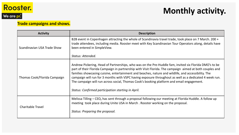

#### **Trade campaigns and shows.**

| <b>Activity</b>              | <b>Description</b>                                                                                                                                                                                                                                                                                                                                                                                                                                                                                                                                                                     |
|------------------------------|----------------------------------------------------------------------------------------------------------------------------------------------------------------------------------------------------------------------------------------------------------------------------------------------------------------------------------------------------------------------------------------------------------------------------------------------------------------------------------------------------------------------------------------------------------------------------------------|
| Scandinavian USA Trade Show  | B2B event in Copenhagen attracting the whole of Scandinavia travel trade, took place on 7 March. 200 +<br>trade attendees, including media. Rooster meet with Key Scandinavian Tour Operators along, details have<br>been entered in SimpleView.<br>Status: Attended.                                                                                                                                                                                                                                                                                                                  |
| Thomas Cook/Florida Campaign | Andrew Pickering, Head of Partnerships, who was on the Pre-Huddle fam, invited six Florida DMO's to be<br>part of their Florida Campaign in partnership with Visit Florida. The campaign aimed at both couples and<br>families showcasing cuisine, entertainment and beaches, nature and wildlife, and accessibility. The<br>campaign will run for 3 months with VSPC having exposure throughout as well as a dedicated 4 week run.<br>The campaign will run across social, Thomas Cook's booking platform and email engagement.<br>Status: Confirmed participation starting in April. |
| <b>Charitable Travel</b>     | Melissa Tilling – CEO, has sent through a proposal following our meeting at Florida Huddle. A follow up<br>meeting took place during Unite USA in March. Rooster working on the proposal.<br>Status: Preparing the proposal.                                                                                                                                                                                                                                                                                                                                                           |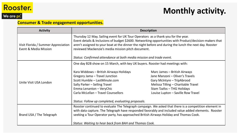

We are pr.

## **Monthly activity.**

## **Consumer & Trade engagement opportunities.**

| <b>Activity</b>                                              | <b>Description</b>                                                                                                                                                                                                                                                                                                                                                                                                                  |                                                                                                                                                                                                          |
|--------------------------------------------------------------|-------------------------------------------------------------------------------------------------------------------------------------------------------------------------------------------------------------------------------------------------------------------------------------------------------------------------------------------------------------------------------------------------------------------------------------|----------------------------------------------------------------------------------------------------------------------------------------------------------------------------------------------------------|
| Visit Florida / Summer Appreciation<br>Event & Media Mission | Thursday 12 May. Sailing event for UK Tour Operators as a thank you for the year.<br>Event details & Inclusions of budget \$2600. Networking opportunities with Product/decision-makers that<br>aren't assigned to your boat at the dinner the night before and during the lunch the next day. Rooster<br>reviewed Mackenzie's media mission pitch document.<br>Status: Confirmed attendance at both media mission and trade event. |                                                                                                                                                                                                          |
|                                                              | One day B2B show on 15 March, with key UK buyers. Rooster had meetings with:                                                                                                                                                                                                                                                                                                                                                        |                                                                                                                                                                                                          |
| Unite Visit USA London                                       | Kara Widdows - British Airways Holidays<br>Gregory Jama - Travel Junction<br>Scott Humble - LastMinute.com<br>Sally Parker - Selling Travel<br>Emma Lenanton - VeryChic<br>Carla McLellan - Travel Counsellors<br>Status: Follow up completed, evaluating proposals.                                                                                                                                                                | Marc James - British Airways<br>Jane Manzoni - Oliver's Travels<br>Gary McIntyre - TripAbrood<br>Melissa Tilling - Charitable Travel<br>Stam Tzafos - THG Holidays<br>Louise Lupton - Saville Row Travel |
| Brand USA / The Telegraph                                    | Rooster continued to evaluate The Telegraph campaign. We asked that there is a competition element in<br>with data capture. The Telegraph have responded favorably and included value added elements. Rooster<br>seeking a Tour Operator party, has approached British Airways Holiday and Thomas Cook.<br>Status: Waiting to hear back from BAH and Thomas Cook.                                                                   |                                                                                                                                                                                                          |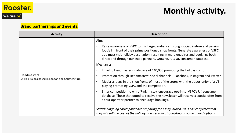

## **Brand partnerships and events.**

| <b>Activity</b>                                                       | <b>Description</b>                                                                                                                                                                                                                                                                                                                                               |
|-----------------------------------------------------------------------|------------------------------------------------------------------------------------------------------------------------------------------------------------------------------------------------------------------------------------------------------------------------------------------------------------------------------------------------------------------|
|                                                                       | Aim:<br>Raise awareness of VSPC to this target audience through social, instore and passing<br>$\bullet$<br>footfall in front of their prime positioned shop fronts. Generate awareness of VSPC<br>as a must visit holiday destination, resulting in more enquires and bookings both<br>direct and through our trade partners. Grow VSPC'S UK consumer database. |
|                                                                       | Mechanics:                                                                                                                                                                                                                                                                                                                                                       |
|                                                                       | Email to Headmasters' database of 140,000 promoting the holiday comp.<br>$\bullet$                                                                                                                                                                                                                                                                               |
| <b>Headmasters</b><br>55 Hair Salons based in London and Southeast UK | Promotion through Headmasters' social channels – Facebook, Instagram and Twitter.<br>$\bullet$                                                                                                                                                                                                                                                                   |
|                                                                       | Media screens in the shop fronts of most of the stores with the opportunity of a VT<br>$\bullet$<br>playing promoting VSPC and the competition.                                                                                                                                                                                                                  |
|                                                                       | Enter competition to win a 7-night stay, encourage opt-in to VSPC's UK consumer<br>$\bullet$<br>database. Those that opted to receive the newsletter will receive a special offer from<br>a tour operator partner to encourage bookings.                                                                                                                         |
|                                                                       | Status: Ongoing correspondence preparing for 1 May launch. BAH has confirmed that<br>they will sell the cost of the holiday at a net rate also looking at value added options.                                                                                                                                                                                   |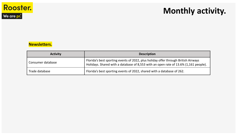

## **Monthly activity.**

#### **Newsletters.**

| <b>Activity</b>   | <b>Description</b>                                                                                                                                                         |
|-------------------|----------------------------------------------------------------------------------------------------------------------------------------------------------------------------|
| Consumer database | Florida's best sporting events of 2022, plus holiday offer through British Airways<br>Holidays. Shared with a database of 8,553 with an open rate of 13.6% (1,161 people). |
| Trade database    | Florida's best sporting events of 2022, shared with a database of 262.                                                                                                     |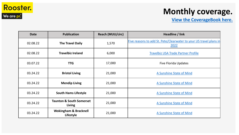

## **Monthly coverage.**

## **[View the CoverageBook here.](https://roosterpr.coveragebook.com/b/94e228c438423cd8)**

| <b>Date</b> | <b>Publication</b>                            | <b>Reach (MUU/circ)</b> | Headline / link                                                            |
|-------------|-----------------------------------------------|-------------------------|----------------------------------------------------------------------------|
| 02.08.22    | <b>The Travel Daily</b>                       | 1,570                   | Five reasons to add St. Pete/Clearwater to your US travel plans in<br>2022 |
| 02.08.22    | <b>Travelbiz Ireland</b>                      | 6,000                   | <b>Travelbiz USA Trade Partner Profile</b>                                 |
| 03.07.22    | <b>TTG</b>                                    | 17,000                  | <b>Five Florida Updates</b>                                                |
| 03.24.22    | <b>Bristol Living</b>                         | 21,000                  | A Sunshine State of Mind                                                   |
| 03.24.22    | <b>Mendip Living</b>                          | 21,000                  | A Sunshine State of Mind                                                   |
| 03.24.22    | <b>South Hams Lifestyle</b>                   | 21,000                  | A Sunshine State of Mind                                                   |
| 03.24.22    | <b>Taunton &amp; South Somerset</b><br>Living | 21,000                  | A Sunshine State of Mind                                                   |
| 03.24.22    | <b>Wokingham &amp; Bracknell</b><br>Lifestyle | 21,000                  | A Sunshine State of Mind                                                   |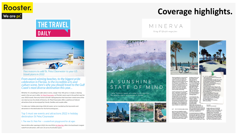

## **THE TRAVEL DAILY**



Five reasons to add St. Pete/Clearwater to your US travel plans in 2022

From award-winning beaches, to the biggest pride<br>celebration in Florida, to the incredible arts and culture scene, here's why you should travel to the Gulf<br>Coast's most diverse destination this year...

Whether it's a bustling arts and culture scene, a larger-than-life party or simply a relaxing week in the sun you're after, St. Pete/Clearwater on Florida's west coast is the perfect spot for your 2022 travels. Not only home to breath-taking beaches that have been voted some of the very best across the whole of America, St. Pete/Clearwater offers a plethora of vibrant attractions that can be enjoyed by friends, families and couples alike

To make your holiday planning a little bit easier, we've rounded up the top events and attractions in the destination for the forthcoming year..

#### Top 5 must see events and attractions 2022 in holiday destination St Pete/Clearwater

#### 1. The new St. Pete Pier - a waterfront playground for all ages

New to Brits after opening in 2020, the new \$92m St. Pete Pier offers the Southeast's largest waterfront attraction, with over 26 acres of activated space.

## **Coverage highlights.**

MINERVA living & lifestyle magazines



STATE OF MIND

Katie Thomson heads on a road trip to discover the diverse sights and sounds of Florida



food is amazing, the atmosphere unlike<br>anything you'll experience in the UK - if<br>you like to eat where the locals eat, this enjoy a long lunch, before a stroll along Clearwater<br>beach. Both St Pete and is the place. You must try the Cuban and wich and the iconic 1905 salad-<br>and don't forget to leave room for the<br>white chocolate bread pudding. Clearwater have been<br>Winners of America's be beach for a number of

Home for the night was only a few streets<br>away, in Water Street. This newly-built<br>area was conceived to change the quality<br>of city living - being purpose-built with<br>aspirational lifectyle in mind. Think lots<br>of outdoor are white sand, clear waters<br>and amazing amenities, it easy to see why they are enduringly popular A must visit whilst in the and night-life scene and wide, expansive area is Clearwater Marin spaces. We were staying in the newly-Aguarium - primarily built JW Marriott Tampa Water Street - it<br>has everything you'd expect from a 5 sta a marine hospital, the<br>centre aims to educate

city hotel, but with some amazing resort amenties too - like the resort-style sixth-<br>floor rooftop pool. It's the perfect base to the Dolphin named<br>Winter from the film explore the rest of this vibrant city from

ST PETERSBURG and houses those that are not suitable for re-release. Ike its resident dolphins and soon-to-open manatee section

Just a hop over a bridge from buzzing<br>Tampa is a special city within a peninsula,<br>St Petersburg. Known to locals as St Pete,<br>this beautiful area its warm weather and It's important to get out on the beach that opportunity steps from the door. The<br>Hilton Garden Inn St. Pete Beach is newly for holding the title of 'most consecutive days with sunshine' at 768 days and thus<br>the other name - sunshine city. It makes it<br>an absolute paradise for beach-goers, refurbished, with a laid-back beach style It has its own beach-front har Coconut ries, which is the ideal place to wa

they undertake. cmaquarium.org<br>of Grab an iconic grouper sandwich at Frenchy's,<br>washed down with margaritas. frenchysonline.com<br>If you'd like some fine dining during your visit,<br>there are two musts on the list. Within The Saint<br>Hotel, 82 Degrees is the perfect spot for coastal fare, craft cocktails and breathtaking views. The<br>Key Lime pie was the best we tasted during our rip, *thesainthoteLcom*<br>Then, for a truly unique experien<u>ce,</u> head to Spinners Rooftop Grille - as the name<br>suggests, the restaurant floor rotates to reveal<br>a stunning 360° view of the area. Make gure<br>to have the catch of the day whilst you soak to have the catch of the day whilst you so<br>in miles of pristine views in every direction p*innersrooftopgrille.com*<br>tay: Hilton Garden Inn St. Pete Beach

Dolphin's Tale - the centre were<br>responsible for fitting Winter with her the sunset with your own sundowns prosthetic tail fin, after she lost it as a<br>baby. The Aquarium cares for sick sea-li

vears - and with powder

Kids might recognise

It might surprise you to find out that in implies is also home to the largest<br>collection of Dail art outside of Spain. The<br>Dail Museum houses a vast permanent collection within a mind-bending during your stay here and our hotel offered

contactural gem - it's well worth a visit.<br>If that gets your culture juices flowing,<br>make time to see other local galleries the James Museum of Western and Wildlife Art and the Museum of Fine Arts. These all neighbour the spectacular St Pete's<br>Pier - this vast 26 acre site connects the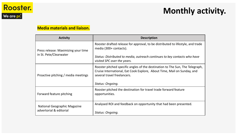

#### **Media materials and liaison.**

| <b>Activity</b>                                                | <b>Description</b>                                                                                                                                                                                          |
|----------------------------------------------------------------|-------------------------------------------------------------------------------------------------------------------------------------------------------------------------------------------------------------|
| Press release: Maximizing your time<br>in St. Pete/Clearwater  | Rooster drafted release for approval, to be distributed to lifestyle, and trade<br>media (300+ contacts).                                                                                                   |
|                                                                | Status: Distributed to media, outreach continues to key contacts who have<br>visited SPC over the years.                                                                                                    |
| Proactive pitching / media meetings                            | Rooster pitched specific angles of the destination to The Sun, The Telegraph,<br>Cruise International, Eat Cook Explore, About Time, Mail on Sunday, and<br>several travel freelancers.<br>Status: Ongoing. |
|                                                                |                                                                                                                                                                                                             |
| Forward feature pitching                                       | Rooster pitched the destination for travel trade forward feature<br>opportunities.                                                                                                                          |
| <b>National Geographic Magazine</b><br>advertorial & editorial | Analysed ROI and feedback on opportunity that had been presented.                                                                                                                                           |
|                                                                | Status: Ongoing.                                                                                                                                                                                            |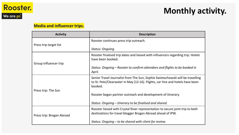

#### **Media and influencer trips.**

| <b>Activity</b>           | <b>Description</b>                                                                                                                                                         |
|---------------------------|----------------------------------------------------------------------------------------------------------------------------------------------------------------------------|
|                           | Rooster continues press trip outreach.                                                                                                                                     |
| Press trip target list    | Status: Ongoing.                                                                                                                                                           |
| Group influencer trip     | Rooster finalised trip dates and liaised with influencers regarding trip. Hotels<br>have been booked.                                                                      |
|                           | Status: Ongoing – Rooster to confirm attendees and flights to be booked in<br>April.                                                                                       |
| Press trip: The Sun       | Senior Travel Journalist from The Sun, Sophie Swietochowski will be travelling<br>to St. Pete/Clearwater in May (12-16). Flights, car hire and hotels have been<br>booked. |
|                           | Rooster began partner outreach and development of itinerary.                                                                                                               |
|                           | Status: Ongoing – itinerary to be finalised and shared.                                                                                                                    |
| Press trip: Brogan Abroad | Rooster liaised with Crystal River representation to secure joint trip to both<br>destinations for travel blogger Brogan Abroad ahead of IPW.                              |
|                           | Status: Ongoing – to be shared with client for review.                                                                                                                     |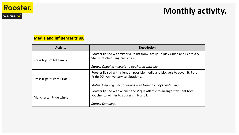

## **Monthly activity.**

## **Media and influencer trips.**

| <b>Activity</b>            | <b>Description</b>                                                                                                               |
|----------------------------|----------------------------------------------------------------------------------------------------------------------------------|
| Press trip: Pollitt Family | Rooster liaised with Victoria Pollitt from Family Holiday Guide and Express &<br>Star re rescheduling press trip.                |
|                            | Status: Ongoing – details to be shared with client.                                                                              |
| Press trip: St. Pete Pride | Rooster liaised with client on possible media and bloggers to cover St. Pete<br>Pride 20 <sup>th</sup> Anniversary celebrations. |
|                            | Status: Ongoing – negotiations with Nomadic Boys continuing.                                                                     |
| Manchester Pride winner    | Rooster liaised with winner and Virgin Atlantic to arrange stay, sent hotel<br>voucher to winner to address in Norfolk.          |
|                            | Status: Complete.                                                                                                                |